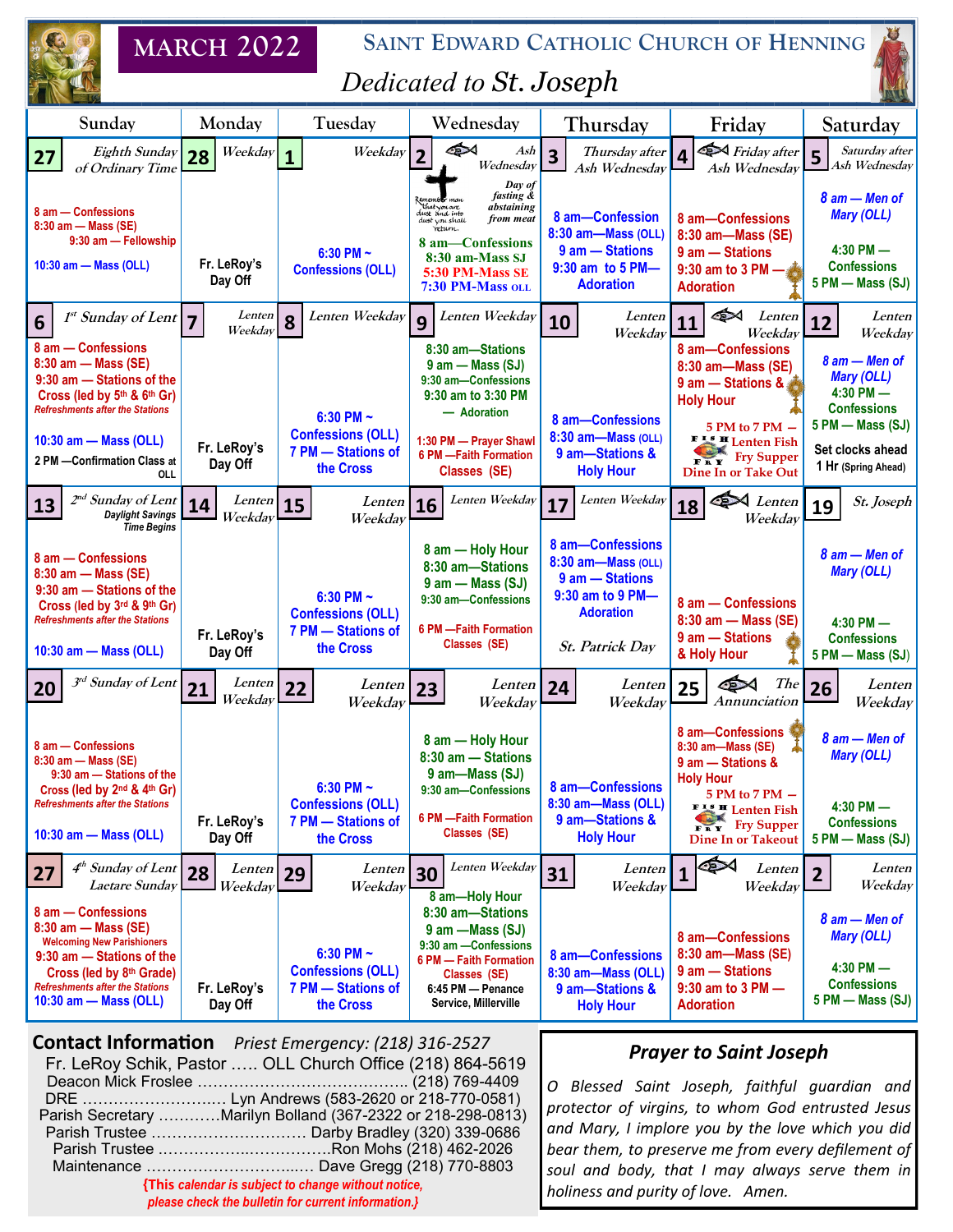|                                                                                                                                                                                                                 | <b>MARCH 2022</b>       | SAINT EDWARD CATHOLIC CHURCH OF HENNING                                       |                                                                                                                                                                                          |                                                                                                                             |                                                                                                                                                                                             |                                                                                                                                          |
|-----------------------------------------------------------------------------------------------------------------------------------------------------------------------------------------------------------------|-------------------------|-------------------------------------------------------------------------------|------------------------------------------------------------------------------------------------------------------------------------------------------------------------------------------|-----------------------------------------------------------------------------------------------------------------------------|---------------------------------------------------------------------------------------------------------------------------------------------------------------------------------------------|------------------------------------------------------------------------------------------------------------------------------------------|
| Dedicated to St. Joseph                                                                                                                                                                                         |                         |                                                                               |                                                                                                                                                                                          |                                                                                                                             |                                                                                                                                                                                             |                                                                                                                                          |
| Sunday                                                                                                                                                                                                          | Monday                  | Tuesday                                                                       | Wednesday                                                                                                                                                                                | Thursday                                                                                                                    | Friday                                                                                                                                                                                      | Saturday                                                                                                                                 |
| Eighth Sunday<br>27<br>of Ordinary Time                                                                                                                                                                         | Weekday<br>28           | Weekday<br>$\mathbf{1}$                                                       | া≫<br>Ash<br>$\overline{2}$<br>Wednesday                                                                                                                                                 | Thursday after<br>3<br>Ash Wednesday                                                                                        | Friday after<br>$\boldsymbol{\Lambda}$<br>Ash Wednesdav                                                                                                                                     | Saturday after<br>$\overline{5}$<br>Ash Wednesday                                                                                        |
| 8 am - Confessions<br>8:30 am - Mass (SE)<br>9:30 am - Fellowship<br>10:30 am - Mass (OLL)                                                                                                                      | Fr. LeRoy's<br>Day Off  | 6:30 PM $\sim$<br><b>Confessions (OLL)</b>                                    | Day of<br>fasting &<br>that you are<br>dust and into<br>abstaining<br>from meat<br>dust you shall<br>when.<br>8 am-Confessions<br>8:30 am-Mass SJ<br>5:30 PM-Mass SE<br>7:30 PM-Mass oll | 8 am-Confession<br>8:30 am-Mass (OLL)<br>9 am - Stations<br>9:30 am to 5 PM-<br><b>Adoration</b>                            | 8 am-Confessions<br>8:30 am-Mass (SE)<br>9 am - Stations<br>9:30 am to 3 PM -<br><b>Adoration</b>                                                                                           | $8$ am $-$ Men of<br><b>Mary (OLL)</b><br>$4:30$ PM $-$<br><b>Confessions</b><br>5 PM - Mass (SJ)                                        |
| 1 <sup>st</sup> Sunday of Lent<br>6                                                                                                                                                                             | Lenten<br>Weekday       | Lenten Weekday<br>8                                                           | Lenten Weekday<br>$\mathbf{Q}$                                                                                                                                                           | Lenten<br>10<br>Weekday                                                                                                     | া≫<br>Lenten<br>11<br>Weekdav                                                                                                                                                               | Lenten<br>12<br>Weekday                                                                                                                  |
| 8 am - Confessions<br>8:30 am - Mass (SE)<br>9:30 am - Stations of the<br>Cross (led by 5th & 6th Gr)<br><b>Refreshments after the Stations</b><br>10:30 am - Mass (OLL)<br>2 PM - Confirmation Class at<br>OLL | Fr. LeRoy's<br>Day Off  | 6:30 PM $\sim$<br><b>Confessions (OLL)</b><br>7 PM - Stations of<br>the Cross | 8:30 am-Stations<br>$9$ am $-$ Mass (SJ)<br>9:30 am-Confessions<br>9:30 am to 3:30 PM<br>- Adoration<br>1:30 PM - Prayer Shawl<br>6 PM - Faith Formation<br>Classes (SE)                 | 8 am-Confessions<br>8:30 am-Mass (OLL)<br>9 am-Stations &<br><b>Holy Hour</b>                                               | 8 am-Confessions<br>8:30 am-Mass (SE)<br>9 am - Stations &<br><b>Holy Hour</b><br>5 PM to 7 PM -<br>FISH Lenten Fish<br><b>Fry Supper</b><br><b>Dine In or Take Out</b>                     | 8 am - Men of<br><b>Mary (OLL)</b><br>$4:30$ PM $-$<br><b>Confessions</b><br>5 PM - Mass (SJ)<br>Set clocks ahead<br>1 Hr (Spring Ahead) |
| $2^{nd}$ Sunday of Lent<br>13<br><b>Daylight Savings</b><br><b>Time Begins</b>                                                                                                                                  | Lenten<br>14<br>Weekday | Lenten<br>15<br>Weekday                                                       | Lenten Weekday<br>16                                                                                                                                                                     | Lenten Weekday<br>17                                                                                                        | Lenten<br>Œ<br>18<br>Weekday                                                                                                                                                                | St. Joseph<br>19                                                                                                                         |
| 8 am - Confessions<br>8:30 am - Mass (SE)<br>9:30 am - Stations of the<br>Cross (led by 3rd & 9th Gr)<br><b>Refreshments after the Stations</b><br>10:30 am - Mass (OLL)                                        | Fr. LeRoy's<br>Day Off  | 6:30 PM $\sim$<br><b>Confessions (OLL)</b><br>7 PM - Stations of<br>the Cross | 8 am - Holy Hour<br>8:30 am-Stations<br>$9$ am $-$ Mass (SJ)<br>9:30 am-Confessions<br>6 PM - Faith Formation<br>Classes (SE)                                                            | 8 am-Confessions<br>8:30 am-Mass (OLL)<br>9 am - Stations<br>9:30 am to 9 PM-<br><b>Adoration</b><br><b>St. Patrick Day</b> | 8 am - Confessions<br>8:30 am - Mass (SE)<br>$9$ am $-$ Stations<br>& Holy Hour                                                                                                             | 8 am - Men of<br><b>Mary (OLL)</b><br>$4:30$ PM $-$<br><b>Confessions</b><br>5 PM - Mass (SJ)                                            |
| $\overline{3^{rd}}$ Sunday of Lent 21<br><b>20</b>                                                                                                                                                              | Lenten<br>Weekdav       | 22<br>Lenten<br>Weekday                                                       | Lenten<br>23<br>Weekday                                                                                                                                                                  | Lenten<br>24<br>Weekdav                                                                                                     | The<br>25<br>Annunciation                                                                                                                                                                   | Lenten<br>26<br>Weekday                                                                                                                  |
| 8 am - Confessions<br>8:30 am - Mass (SE)<br>9:30 am - Stations of the<br>Cross (led by $2^{nd}$ & $4^{th}$ Gr)<br><b>Refreshments after the Stations</b><br>10:30 am - Mass (OLL)                              | Fr. LeRoy's<br>Day Off  | 6:30 PM $\sim$<br><b>Confessions (OLL)</b><br>7 PM - Stations of<br>the Cross | 8 am - Holy Hour<br>8:30 am - Stations<br>9 am-Mass (SJ)<br>9:30 am-Confessions<br>6 PM - Faith Formation<br>Classes (SE)                                                                | 8 am-Confessions<br>8:30 am-Mass (OLL)<br>9 am-Stations &<br><b>Holy Hour</b>                                               | 8 am-Confessions<br>8:30 am-Mass (SE)<br>9 am - Stations &<br><b>Holy Hour</b><br>5 PM to 7 PM -<br><b>FISH</b> Lenten Fish<br><b>Fry Supper</b><br><b>FRY</b><br><b>Dine In or Takeout</b> | 8 am – Men of<br><b>Mary (OLL)</b><br>$4:30$ PM $-$<br><b>Confessions</b><br>$5$ PM $-$ Mass (SJ)                                        |
| 4 <sup>th</sup> Sunday of Lent<br>27<br>Laetare Sunday                                                                                                                                                          | Lenten<br>28<br>Weekday | Lenten<br>29<br>Weekday                                                       | Lenten Weekday<br>30                                                                                                                                                                     | Lenten<br>31<br>Weekday                                                                                                     | া<br>Lenten<br>1<br>Weekday                                                                                                                                                                 | Lenten<br>$\overline{\mathbf{c}}$<br>Weekday                                                                                             |
| 8 am - Confessions<br>8:30 am - Mass (SE)<br><b>Welcoming New Parishioners</b><br>9:30 am - Stations of the<br>Cross (led by 8th Grade)<br><b>Refreshments after the Stations</b><br>10:30 am - Mass (OLL)      | Fr. LeRoy's<br>Day Off  | 6:30 PM $\sim$<br><b>Confessions (OLL)</b><br>7 PM - Stations of<br>the Cross | 8 am-Holy Hour<br>8:30 am-Stations<br>9 am - Mass (SJ)<br>9:30 am - Confessions<br>6 PM - Faith Formation<br>Classes (SE)<br>6:45 PM - Penance<br>Service, Millerville                   | 8 am-Confessions<br>8:30 am-Mass (OLL)<br>9 am-Stations &<br><b>Holy Hour</b>                                               | 8 am-Confessions<br>8:30 am-Mass (SE)<br>9 am - Stations<br>$9:30$ am to 3 PM $-$<br><b>Adoration</b>                                                                                       | $8$ am $-$ Men of<br><b>Mary (OLL)</b><br>$4:30$ PM $-$<br><b>Confessions</b><br>$5$ PM $-$ Mass (SJ)                                    |

**Contact Information** *Priest Emergency: (218) 316-2527*  Fr. LeRoy Schik, Pastor .…. OLL Church Office (218) 864-5619 Deacon Mick Froslee ………………………………….. (218) 769-4409

DRE …………………….… Lyn Andrews (583-2620 or 218-770-0581) Parish Secretary …………Marilyn Bolland (367-2322 or 218-298-0813) Parish Trustee ………………………… Darby Bradley (320) 339-0686 Parish Trustee .……………..…………….Ron Mohs (218) 462-2026 Maintenance ………………………...… Dave Gregg (218) 770-8803 **{This** *calendar is subject to change without notice, please check the bulletin for current information.}*

## *Prayer to Saint Joseph*

*O Blessed Saint Joseph, faithful guardian and protector of virgins, to whom [God](http://www.catholic.org/encyclopedia/view.php?id=5217) entrusted [Jesus](http://www.catholic.org/clife/jesus) and Mary, I implore you by the love which you did bear them, to preserve me from every defilement of [soul](http://www.catholic.org/encyclopedia/view.php?id=10963) and body, that I may always serve them in [holiness](http://www.catholic.org/encyclopedia/view.php?id=5813) and purity of love. Amen.*